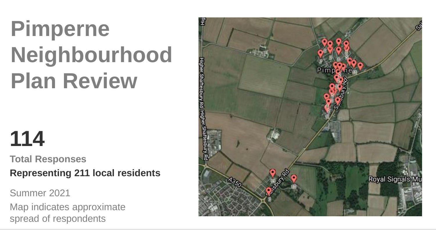# **Pimperne Neighbourhood Plan Review**

## **114**

**Total Responses Representing 211 local residents**

Summer 2021

Map indicates approximate spread of respondents

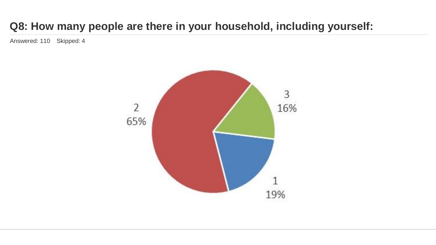## **Q8: How many people are there in your household, including yourself:**

Answered: 110 Skipped: 4

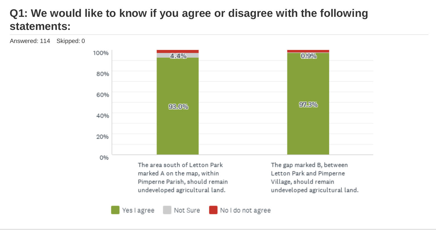## **Q1: We would like to know if you agree or disagree with the following statements:**

Answered: 114 Skipped: 0



No I do not agree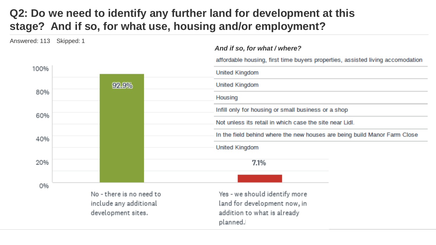## **Q2: Do we need to identify any further land for development at this stage? And if so, for what use, housing and/or employment?**

Answered: 113 Skipped: 1

 $- - - - -$ 

#### *And if so, for what / where?*

affordable housing, first time buyers properties, assisted living accomodation

| 100% |                          | <b>United Kingdom</b>                                                     |  |
|------|--------------------------|---------------------------------------------------------------------------|--|
|      | 92.9%                    | <b>United Kingdom</b>                                                     |  |
| 80%  |                          | Housing                                                                   |  |
| 60%  |                          | Infill only for housing or small business or a shop                       |  |
|      |                          | Not unless its retail in which case the site near Lidl.                   |  |
| 40%  |                          | In the field behind where the new houses are being build Manor Farm Close |  |
|      |                          | <b>United Kingdom</b>                                                     |  |
| 20%  |                          | 7.1%                                                                      |  |
| 0%   |                          |                                                                           |  |
|      | No - there is no need to | Yes - we should identify more                                             |  |
|      | include any additional   | land for development now, in                                              |  |
|      | development sites.       | addition to what is already<br>planned.                                   |  |
|      |                          |                                                                           |  |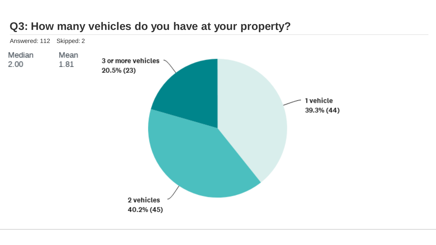#### **Q3: How many vehicles do you have at your property?**

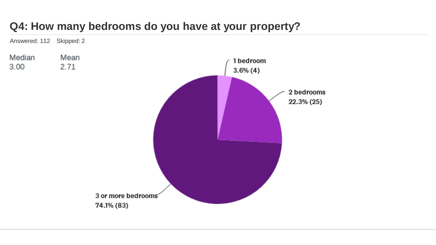## **Q4: How many bedrooms do you have at your property?**

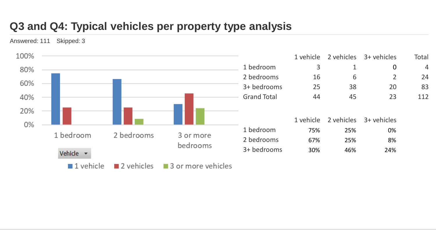## **Q3 and Q4: Typical vehicles per property type analysis**

Answered: 111 Skipped: 3

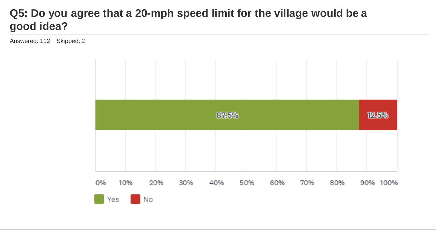#### **Q5: Do you agree that a 20-mph speed limit for the village would be a good idea?**

Answered: 112 Skipped: 2

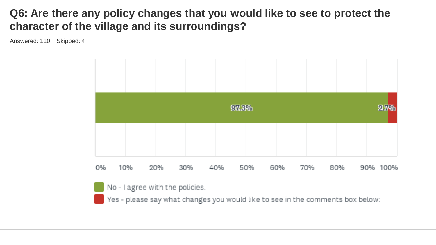#### **Q6: Are there any policy changes that you would like to see to protect the character of the village and its surroundings?**

Answered: 110 Skipped: 4

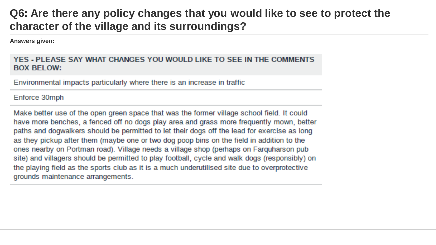#### **Q6: Are there any policy changes that you would like to see to protect the character of the village and its surroundings?**

**Answers given:**

#### YES - PLEASE SAY WHAT CHANGES YOU WOULD LIKE TO SEE IN THE COMMENTS **BOX BELOW:**

Environmental impacts particularly where there is an increase in traffic

#### Enforce 30mph

Make better use of the open green space that was the former village school field. It could have more benches, a fenced off no dogs play area and grass more frequently mown, better paths and dogwalkers should be permitted to let their dogs off the lead for exercise as long as they pickup after them (maybe one or two dog poop bins on the field in addition to the ones nearby on Portman road). Village needs a village shop (perhaps on Farquharson pub site) and villagers should be permitted to play football, cycle and walk dogs (responsibly) on the playing field as the sports club as it is a much underutilised site due to overprotective grounds maintenance arrangements.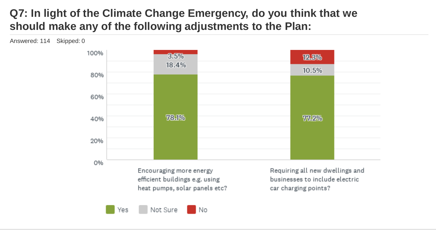## **Q7: In light of the Climate Change Emergency, do you think that we should make any of the following adjustments to the Plan:**



Yes

Answered: 114 Skipped: 0

Not Sure No. car charging points?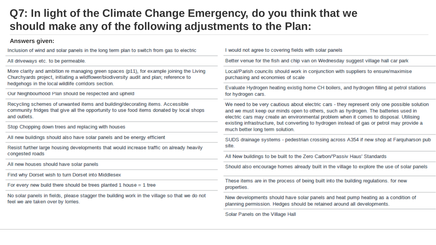#### **Q7: In light of the Climate Change Emergency, do you think that we should make any of the following adjustments to the Plan:**

#### **Answers given:**

| Inclusion of wind and solar panels in the long term plan to switch from gas to electric                                                                                                                                                  | I would not agree to covering fields with solar panels                                                                                                                                                                                                                                                                                                                                                       |  |
|------------------------------------------------------------------------------------------------------------------------------------------------------------------------------------------------------------------------------------------|--------------------------------------------------------------------------------------------------------------------------------------------------------------------------------------------------------------------------------------------------------------------------------------------------------------------------------------------------------------------------------------------------------------|--|
| All driveways etc. to be permeable.                                                                                                                                                                                                      | Better venue for the fish and chip van on Wednesday suggest village hall car park                                                                                                                                                                                                                                                                                                                            |  |
| More clarity and ambition re managing green spaces (p11), for example joining the Living<br>Churchyards project, initiating a wildflower/biodiversity audit and plan; reference to<br>hedgehogs in the local wildlife corridors section. | Local/Parish councils should work in conjunction with suppliers to ensure/maximise<br>purchasing and economies of scale                                                                                                                                                                                                                                                                                      |  |
| Our Neighbourhood Plan should be respected and upheld                                                                                                                                                                                    | Evaluate Hydrogen heating existig home CH boilers, and hydrogen filling at petrol stations<br>for hydrogen cars.                                                                                                                                                                                                                                                                                             |  |
| Recycling schemes of unwanted items and building/decorating items. Accessible<br>community fridges that give all the opportunity to use food items donated by local shops<br>and outlets.                                                | We need to be very cautious about electric cars - they represent only one possible solution<br>and we must keep our minds open to others, such as hydrogen. The batteries used in<br>electric cars may create an environmental problem when it comes to disposal. Utilising<br>existing infrastructure, but converting to hydrogen instead of gas or petrol may provide a<br>much better long term solution. |  |
| Stop Chopping down trees and replacing with houses                                                                                                                                                                                       |                                                                                                                                                                                                                                                                                                                                                                                                              |  |
| All new buildings should also have solar panels and be energy efficient                                                                                                                                                                  | SUDS drainage systems - pedestrian crossing across A354 if new shop at Farquharson pub                                                                                                                                                                                                                                                                                                                       |  |
| Resist further large housing developments that would increase traffic on already heavily                                                                                                                                                 | site.                                                                                                                                                                                                                                                                                                                                                                                                        |  |
| congested roads                                                                                                                                                                                                                          | All New buildings to be built to the Zero Carbon/'Passiv Haus' Standards                                                                                                                                                                                                                                                                                                                                     |  |
| All new houses should have solar panels                                                                                                                                                                                                  | Should also encourage homes already built in the village to explore the use of solar panels                                                                                                                                                                                                                                                                                                                  |  |
| Find why Dorset wish to turn Dorset into Middlesex                                                                                                                                                                                       |                                                                                                                                                                                                                                                                                                                                                                                                              |  |
| For every new build there should be trees planted 1 house $= 1$ tree                                                                                                                                                                     | These items are in the process of being built into the building regulations. for new<br>properties.                                                                                                                                                                                                                                                                                                          |  |
| No solar panels in fields, please stagger the building work in the village so that we do not<br>feel we are taken over by lorries.                                                                                                       | New developments should have solar panels and heat pump heating as a condition of<br>planning permission. Hedges should be retained around all developments.                                                                                                                                                                                                                                                 |  |
|                                                                                                                                                                                                                                          | Solar Panels on the Village Hall                                                                                                                                                                                                                                                                                                                                                                             |  |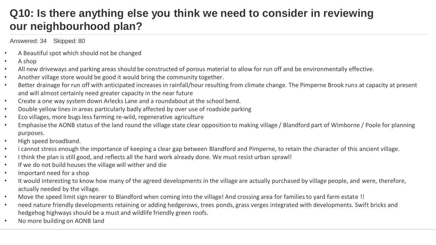## **Q10: Is there anything else you think we need to consider in reviewing our neighbourhood plan?**

#### Answered: 34 Skipped: 80

- A Beautiful spot which should not be changed
- A shop
- All new driveways and parking areas should be constructed of porous material to allow for run off and be environmentally effective.
- Another village store would be good it would bring the community together.
- Better drainage for run off with anticipated increases in rainfall/hour resulting from climate change. The Pimperne Brook runs at capacity at present and will almost certainly need greater capacity in the near future
- Create a one way system down Arlecks Lane and a roundabout at the school bend.
- Double yellow lines in areas particularly badly affected by over use of roadside parking
- Eco villages, more bugs less farming re-wild, regenerative agriculture
- Emphasise the AONB status of the land round the village state clear opposition to making village / Blandford part of Wimborne / Poole for planning purposes.
- High speed broadband.
- i cannot stress enough the importance of keeping a clear gap between Blandford and Pimperne, to retain the character of this ancient village.
- I think the plan is still good, and reflects all the hard work already done. We must resist urban sprawl!
- If we do not build houses the village will wither and die
- Important need for a shop
- It would interesting to know how many of the agreed developments in the village are actually purchased by village people, and were, therefore, actually needed by the village.
- Move the speed limit sign nearer to Blandford when coming into the village! And crossing area for families to yard farm estate !!
- need nature friendly developments retaining or adding hedgerows, trees ponds, grass verges integrated with developments. Swift bricks and hedgehog highways should be a must and wildlife friendly green roofs.
- No more building on AONB land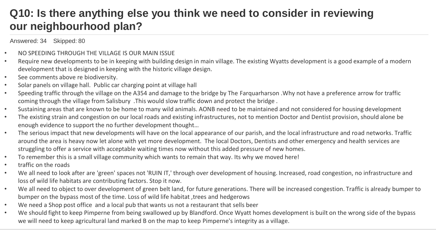### **Q10: Is there anything else you think we need to consider in reviewing our neighbourhood plan?**

Answered: 34 Skipped: 80

- NO SPEEDING THROUGH THE VILLAGE IS OUR MAIN ISSUE
- Require new developments to be in keeping with building design in main village. The existing Wyatts development is a good example of a modern development that is designed in keeping with the historic village design.
- See comments above re biodiversity.
- Solar panels on village hall. Public car charging point at village hall
- Speeding traffic through the village on the A354 and damage to the bridge by The Farquarharson .Why not have a preference arrow for traffic coming through the village from Salisbury .This would slow traffic down and protect the bridge .
- Sustaining areas that are known to be home to many wild animals. AONB need to be maintained and not considered for housing development
- The existing strain and congestion on our local roads and existing infrastructures, not to mention Doctor and Dentist provision,should alone be enough evidence to support the no further development thought…
- The serious impact that new developments will have on the local appearance of our parish, and the local infrastructure and road networks. Traffic around the area is heavy now let alone with yet more development. The local Doctors, Dentists and other emergency and health services are struggling to offer a service with acceptable waiting times now without this added pressure of new homes.
- To remember this is a small village community which wants to remain that way. Its why we moved here!
- traffic on the roads
- We all need to look after are 'green' spaces not 'RUIN IT,' through over development of housing. Increased, road congestion, no infrastructure and loss of wild life habitats are contributing factors. Stop it now.
- We all need to object to over development of green belt land, for future generations. There will be increased congestion. Traffic is already bumper to bumper on the bypass most of the time. Loss of wild life habitat ,trees and hedgerows
- We need a Shop post office and a local pub that wants us not a restaurant that sells beer
- We should fight to keep Pimperne from being swallowed up by Blandford. Once Wyatt homes development is built on the wrong side of the bypass we will need to keep agricultural land marked B on the map to keep Pimperne's integrity as a village.